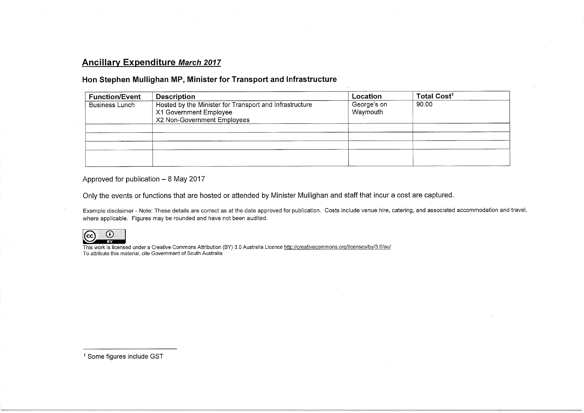### Ancillary Expenditure March 2017

#### Hon Stephen Mullighan MP, Minister for Transport and Infrastructure

| <b>Function/Event</b> | <b>Description</b>                                                                                               | Location                | Total Cost <sup>1</sup> |
|-----------------------|------------------------------------------------------------------------------------------------------------------|-------------------------|-------------------------|
| <b>Business Lunch</b> | Hosted by the Minister for Transport and Infrastructure<br>X1 Government Employee<br>X2 Non-Government Employees | George's on<br>Waymouth | 90.00                   |
|                       |                                                                                                                  |                         |                         |
|                       |                                                                                                                  |                         |                         |
|                       |                                                                                                                  |                         |                         |
|                       |                                                                                                                  |                         |                         |
|                       |                                                                                                                  |                         |                         |

Approved for publication  $-8$  May 2017

Only the events or functions that are hosted or attended by Minister Mullighan and staff that incur a cost are captured.

Example disclaimer - Note: These details are correct as at the date approved for publication. Costs include venue hire, catering, and associated accommodation and travel, where applicable. Figures may be rounded and have not been audited.



This work is licensed under a Creative Commons Attribution (BY) 3.0 Australia Licence <u>http://creativecommons.org/licenses/by/3.0/au/</u> To attribute this material, cite Government of South Australia

1 Some figures include GST